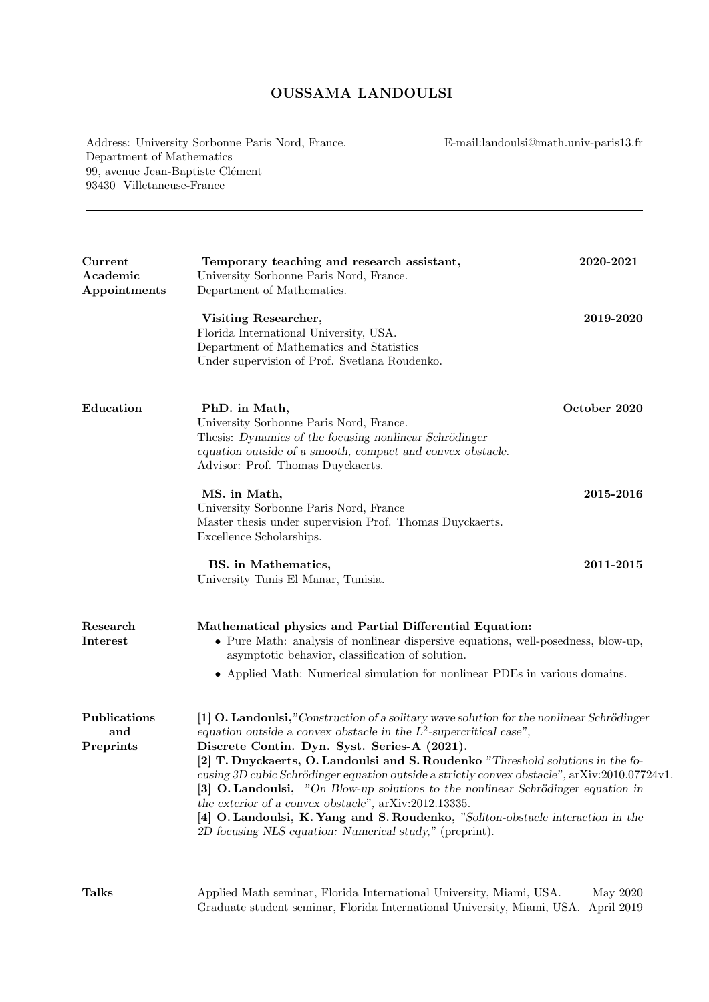## OUSSAMA LANDOULSI

Address: University Sorbonne Paris Nord, France. Department of Mathematics 99, avenue Jean-Baptiste Clément 93430 Villetaneuse-France

E-mail:landoulsi@math.univ-paris13.fr

| Current<br>Academic<br>Appointments | Temporary teaching and research assistant,<br>University Sorbonne Paris Nord, France.<br>Department of Mathematics.                                                                                                                                                                                                                                                                                                                                                                                                                                                                                                                                                                              | 2020-2021    |  |
|-------------------------------------|--------------------------------------------------------------------------------------------------------------------------------------------------------------------------------------------------------------------------------------------------------------------------------------------------------------------------------------------------------------------------------------------------------------------------------------------------------------------------------------------------------------------------------------------------------------------------------------------------------------------------------------------------------------------------------------------------|--------------|--|
|                                     | Visiting Researcher,<br>Florida International University, USA.<br>Department of Mathematics and Statistics<br>Under supervision of Prof. Svetlana Roudenko.                                                                                                                                                                                                                                                                                                                                                                                                                                                                                                                                      | 2019-2020    |  |
| Education                           | PhD. in Math,<br>University Sorbonne Paris Nord, France.<br>Thesis: Dynamics of the focusing nonlinear Schrödinger<br>equation outside of a smooth, compact and convex obstacle.<br>Advisor: Prof. Thomas Duyckaerts.                                                                                                                                                                                                                                                                                                                                                                                                                                                                            | October 2020 |  |
|                                     | MS. in Math,<br>University Sorbonne Paris Nord, France<br>Master thesis under supervision Prof. Thomas Duyckaerts.<br>Excellence Scholarships.                                                                                                                                                                                                                                                                                                                                                                                                                                                                                                                                                   | 2015-2016    |  |
|                                     | BS. in Mathematics,<br>University Tunis El Manar, Tunisia.                                                                                                                                                                                                                                                                                                                                                                                                                                                                                                                                                                                                                                       | 2011-2015    |  |
| Research<br>Interest                | Mathematical physics and Partial Differential Equation:<br>• Pure Math: analysis of nonlinear dispersive equations, well-posedness, blow-up,<br>asymptotic behavior, classification of solution.<br>$\bullet\,$ Applied Math: Numerical simulation for nonlinear PDEs in various domains.                                                                                                                                                                                                                                                                                                                                                                                                        |              |  |
| Publications<br>and<br>Preprints    | [1] O. Landoulsi,"Construction of a solitary wave solution for the nonlinear Schrödinger<br>equation outside a convex obstacle in the $L^2$ -supercritical case",<br>Discrete Contin. Dyn. Syst. Series-A (2021).<br>[2] T. Duyckaerts, O. Landoulsi and S. Roudenko "Threshold solutions in the fo-<br>cusing 3D cubic Schrödinger equation outside a strictly convex obstacle", arXiv:2010.07724v1.<br>[3] O. Landoulsi, "On Blow-up solutions to the nonlinear Schrödinger equation in<br>the exterior of a convex obstacle", arXiv:2012.13335.<br>[4] O. Landoulsi, K. Yang and S. Roudenko, "Soliton-obstacle interaction in the<br>2D focusing NLS equation: Numerical study," (preprint). |              |  |
| <b>Talks</b>                        | Applied Math seminar, Florida International University, Miami, USA.                                                                                                                                                                                                                                                                                                                                                                                                                                                                                                                                                                                                                              | May 2020     |  |

Graduate student seminar, Florida International University, Miami, USA. April 2019